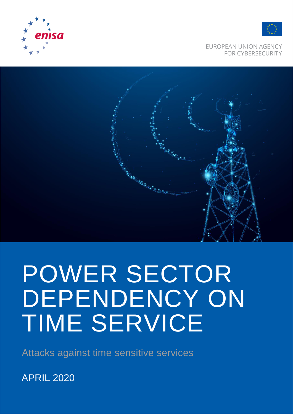



**EUROPEAN UNION AGENCY FOR CYBERSECURITY** 



# POWER SECTOR DEPENDENCY ON TIME SERVICE

Attacks against time sensitive services

APRIL 2020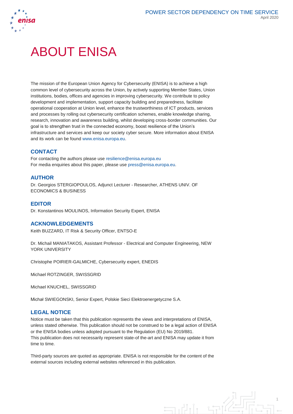

### ABOUT ENISA

The mission of the European Union Agency for Cybersecurity (ENISA) is to achieve a high common level of cybersecurity across the Union, by actively supporting Member States, Union institutions, bodies, offices and agencies in improving cybersecurity. We contribute to policy development and implementation, support capacity building and preparedness, facilitate operational cooperation at Union level, enhance the trustworthiness of ICT products, services and processes by rolling out cybersecurity certification schemes, enable knowledge sharing, research, innovation and awareness building, whilst developing cross-border communities. Our goal is to strengthen trust in the connected economy, boost resilience of the Union's infrastructure and services and keep our society cyber secure. More information about ENISA and its work can be found [www.enisa.europa.eu.](http://www.enisa.europa.eu/)

### **CONTACT**

For contacting the authors please use resilience@enisa.europa.eu For media enquiries about this paper, please use [press@enisa.europa.eu.](mailto:press@enisa.europa.eu)

#### **AUTHOR**

Dr. Georgios STERGIOPOULOS, Adjunct Lecturer - Researcher, ATHENS UNIV. OF ECONOMICS & BUSINESS

### **EDITOR**

Dr. Konstantinos MOULINOS, Information Security Expert, ENISA

#### **ACKNOWLEDGEMENTS**

Keith BUZZARD, IT Risk & Security Officer, ENTSO-E

Dr. Michail MANIATAKOS, Assistant Professor - Electrical and Computer Engineering, NEW YORK UNIVERSITY

Christophe POIRIER-GALMICHE, Cybersecurity expert, ENEDIS

Michael ROTZINGER, SWISSGRID

Michael KNUCHEL, SWISSGRID

Michał SWIEGONSKI, Senior Expert, Polskie Sieci Elektroenergetyczne S.A.

### **LEGAL NOTICE**

Notice must be taken that this publication represents the views and interpretations of ENISA, unless stated otherwise. This publication should not be construed to be a legal action of ENISA or the ENISA bodies unless adopted pursuant to the Regulation (EU) No 2019/881. This publication does not necessarily represent state-of the-art and ENISA may update it from time to time.

Third-party sources are quoted as appropriate. ENISA is not responsible for the content of the external sources including external websites referenced in this publication.

 $\exists$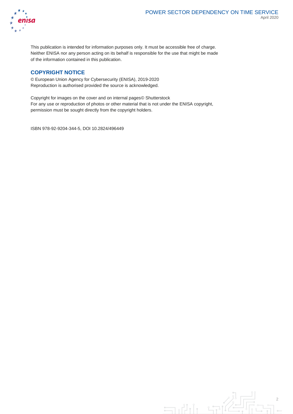

This publication is intended for information purposes only. It must be accessible free of charge. Neither ENISA nor any person acting on its behalf is responsible for the use that might be made of the information contained in this publication.

#### **COPYRIGHT NOTICE**

© European Union Agency for Cybersecurity (ENISA), 2019-2020 Reproduction is authorised provided the source is acknowledged.

Copyright for images on the cover and on internal pages© Shutterstock For any use or reproduction of photos or other material that is not under the ENISA copyright, permission must be sought directly from the copyright holders.

ISBN 978-92-9204-344-5, DOI 10.2824/496449

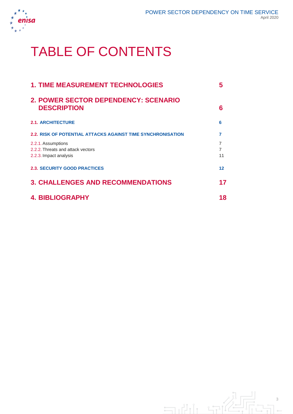

# TABLE OF CONTENTS

| <b>1. TIME MEASUREMENT TECHNOLOGIES</b>                            | 5                                |
|--------------------------------------------------------------------|----------------------------------|
| 2. POWER SECTOR DEPENDENCY: SCENARIO<br><b>DESCRIPTION</b>         | 6                                |
| <b>2.1. ARCHITECTURE</b>                                           | 6                                |
| <b>2.2. RISK OF POTENTIAL ATTACKS AGAINST TIME SYNCHRONISATION</b> | 7                                |
| 2.2.1. Assumptions<br>2.2.2. Threats and attack vectors            | $\overline{7}$<br>$\overline{7}$ |
| 2.2.3. Impact analysis                                             | 11                               |
| <b>2.3. SECURITY GOOD PRACTICES</b>                                | 12 <sup>2</sup>                  |
| <b>3. CHALLENGES AND RECOMMENDATIONS</b>                           | 17                               |
| <b>4. BIBLIOGRAPHY</b>                                             | 18                               |
|                                                                    |                                  |

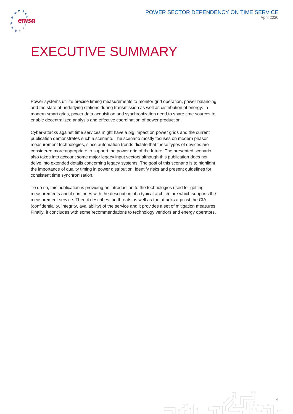

# EXECUTIVE SUMMARY

Power systems utilize precise timing measurements to monitor grid operation, power balancing and the state of underlying stations during transmission as well as distribution of energy. In modern smart grids, power data acquisition and synchronization need to share time sources to enable decentralized analysis and effective coordination of power production.

Cyber-attacks against time services might have a big impact on power grids and the current publication demonstrates such a scenario. The scenario mostly focuses on modern phasor measurement technologies, since automation trends dictate that these types of devices are considered more appropriate to support the power grid of the future. The presented scenario also takes into account some major legacy input vectors although this publication does not delve into extended details concerning legacy systems. The goal of this scenario is to highlight the importance of quality timing in power distribution, identify risks and present guidelines for consistent time synchronisation.

To do so, this publication is providing an introduction to the technologies used for getting measurements and it continues with the description of a typical architecture which supports the measurement service. Then it describes the threats as well as the attacks against the CIA (confidentiality, integrity, availability) of the service and it provides a set of mitigation measures. Finally, it concludes with some recommendations to technology vendors and energy operators.

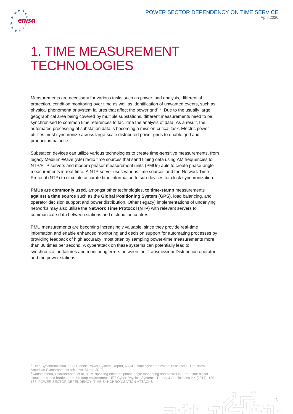

 $\overline{a}$ 

# 1. TIME MEASUREMENT **TECHNOLOGIES**

Measurements are necessary for various tasks such as power load analysis, differential protection, condition monitoring over time as well as identification of unwanted events, such as physical phenomena or system failures that affect the power grid<sup>1,2</sup>. Due to the usually large geographical area being covered by multiple substations, different measurements need to be synchronised to common time references to facilitate the analysis of data. As a result, the automated processing of substation data is becoming a mission-critical task. Electric power utilities must synchronize across large-scale distributed power grids to enable grid and production balance.

Substation devices can utilize various technologies to create time-sensitive measurements, from legacy Medium-Wave (AM) radio time sources that send timing data using AM frequencies to NTP/PTP servers and modern phasor measurement units (PMUs) able to create phase-angle measurements in real-time. A NTP server uses various time sources and the Network Time Protocol (NTP) to circulate accurate time information to sub-devices for clock synchronization.

**PMUs are commonly used**, amongst other technologies, **to time-stamp** measurements **against a time source** such as the **Global Positioning System (GPS)**, load balancing, and operator decision support and power distribution. Other (legacy) implementations of underlying networks may also utilise the **Network Time Protocol (NTP)** with relevant servers to communicate data between stations and distribution centres.

PMU measurements are becoming increasingly valuable, since they provide real-time information and enable enhanced monitoring and decision support for automating processes by providing feedback of high accuracy; most often by sampling power-time measurements more than 30 times per second. A cyberattack on these systems can potentially lead to synchronization failures and monitoring errors between the Transmission/ Distribution operator and the power stations.

انی ہے

<sup>1</sup> Time Synchronization in the Electric Power System, Report, NASPI Time Synchronization Task Force, The North American Synchrophasor Initiative, March 2017.

<sup>&</sup>lt;sup>2</sup> Konstantinou, Charalambos, et al. "GPS spoofing effect on phase angle monitoring and control in a real-time digital simulator-based hardware-in-the-loop environment." IET Cyber-Physical Systems: Theory & Applications 2.4 (2017): 180- 187. POWER SECTOR DEPENDENCY: TIME SYNCHRONISATION ATTACKS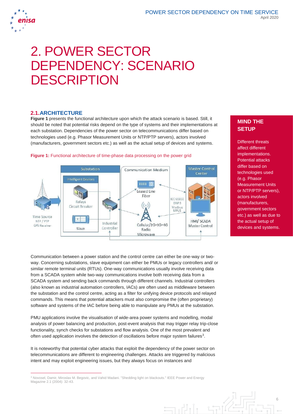

# 2. POWER SECTOR DEPENDENCY: SCENARIO **DESCRIPTION**

#### **2.1.ARCHITECTURE**

 $\overline{a}$ 

**Figure 1** presents the functional architecture upon which the attack scenario is based. Still, it should be noted that potential risks depend on the type of systems and their implementations at each substation. Dependencies of the power sector on telecommunications differ based on technologies used (e.g. Phasor Measurement Units or NTP/PTP servers), actors involved (manufacturers, government sectors etc.) as well as the actual setup of devices and systems.

**Figure 1:** Functional architecture of time-phase data processing on the power grid



Communication between a power station and the control centre can either be one-way or twoway. Concerning substations, slave equipment can either be PMUs or legacy controllers and/ or similar remote terminal units (RTUs). One-way communications usually involve receiving data from a SCADA system while two-way communications involve both receiving data from a SCADA system and sending back commands through different channels. Industrial controllers (also known as industrial automation controllers, IACs) are often used as middleware between the substation and the control centre, acting as a filter for unifying device protocols and relayed commands. This means that potential attackers must also compromise the (often proprietary) software and systems of the IAC before being able to manipulate any PMUs at the substation.

PMU applications involve the visualisation of wide-area power systems and modelling, modal analysis of power balancing and production, post-event analysis that may trigger relay trip-close functionality, synch checks for substations and flow analysis. One of the most prevalent and often used application involves the detection of oscillations before major system failures<sup>3</sup>.

It is noteworthy that potential cyber attacks that exploit the dependency of the power sector on telecommunications are different to engineering challenges. Attacks are triggered by malicious intent and may exploit engineering issues, but they always focus on instances and

### **MIND THE SETUP**

Different threats affect different implementations. Potential attacks differ based on technologies used (e.g. Phasor Measurement Units or NTP/PTP servers), actors involved (manufacturers, government sectors etc.) as well as due to the actual setup of devices and systems.

<sup>3</sup> Novosel, Damir, Miroslav M. Begovic, and Vahid Madani. "Shedding light on blackouts." IEEE Power and Energy Magazine 2.1 (2004): 32-43.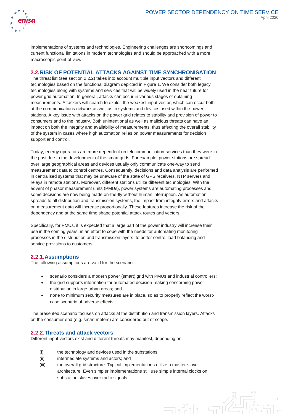

implementations of systems and technologies. Engineering challenges are shortcomings and current functional limitations in modern technologies and should be approached with a more macroscopic point of view.

#### **2.2.RISK OF POTENTIAL ATTACKS AGAINST TIME SYNCHRONISATION**

The threat list (see section 2.2.2) takes into account multiple input vectors and different technologies based on the functional diagram depicted in Figure 1. We consider both legacy technologies along with systems and services that will be widely used in the near future for power grid automation. In general, attacks can occur in various stages of obtaining measurements. Attackers will search to exploit the weakest input vector, which can occur both at the communications network as well as in systems and devices used within the power stations. A key issue with attacks on the power grid relates to stability and provision of power to consumers and to the industry. Both unintentional as well as malicious threats can have an impact on both the integrity and availability of measurements, thus affecting the overall stability of the system in cases where high automation relies on power measurements for decision support and control.

Today, energy operators are more dependent on telecommunication services than they were in the past due to the development of the smart grids. For example, power stations are spread over large geographical areas and devices usually only communicate one-way to send measurement data to control centres. Consequently, decisions and data analysis are performed in centralised systems that may be unaware of the state of GPS receivers, NTP servers and relays in remote stations. Moreover, different stations utilize different technologies. With the advent of phasor measurement units (PMUs), power systems are automating processes and some decisions are now being made on-the-fly without human interruption. As automation spreads to all distribution and transmission systems, the impact from integrity errors and attacks on measurement data will increase proportionally. These features increase the risk of the dependency and at the same time shape potential attack routes and vectors.

Specifically, for PMUs, it is expected that a large part of the power industry will increase their use in the coming years, in an effort to cope with the needs for automating monitoring processes in the distribution and transmission layers, to better control load balancing and service provisions to customers.

#### **2.2.1.Assumptions**

The following assumptions are valid for the scenario:

- scenario considers a modern power (smart) grid with PMUs and industrial controllers;
- the grid supports information for automated decision-making concerning power distribution in large urban areas; and
- none to minimum security measures are in place, so as to properly reflect the worstcase scenario of adverse effects.

The presented scenario focuses on attacks at the distribution and transmission layers. Attacks on the consumer end (e.g. smart meters) are considered out of scope.

#### **2.2.2.Threats and attack vectors**

Different input vectors exist and different threats may manifest, depending on:

- (i) the technology and devices used in the substations;
- (ii) intermediate systems and actors; and
- (iii) the overall grid structure. Typical implementations utilize a master-slave architecture. Even simpler implementations still use simple internal clocks on substation slaves over radio signals.

 $=$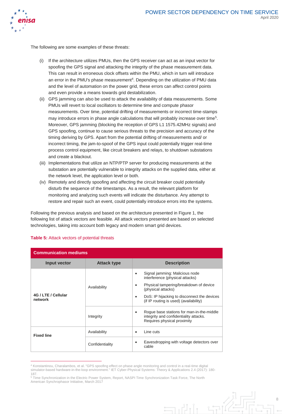

The following are some examples of these threats:

- (i) If the architecture utilizes PMUs, then the GPS receiver can act as an input vector for spoofing the GPS signal and attacking the integrity of the phase measurement data. This can result in erroneous clock offsets within the PMU, which in turn will introduce an error in the PMU's phase measurement<sup>4</sup>. Depending on the utilization of PMU data and the level of automation on the power grid, these errors can affect control points and even provide a means towards grid destabilization.
- (ii) GPS jamming can also be used to attack the availability of data measurements. Some PMUs will revert to local oscillators to determine time and compute phasor measurements. Over time, potential drifting of measurements or incorrect time-stamps may introduce errors in phase angle calculations that will probably increase over time<sup>5</sup>. Moreover, GPS jamming (blocking the reception of GPS L1 1575.42MHz signals) and GPS spoofing, continue to cause serious threats to the precision and accuracy of the timing deriving by GPS. Apart from the potential drifting of measurements and/ or incorrect timing, the jam-to-spoof of the GPS input could potentially trigger real-time process control equipment, like circuit breakers and relays, to shutdown substations and create a blackout.
- (iii) Implementations that utilize an NTP/PTP server for producing measurements at the substation are potentially vulnerable to integrity attacks on the supplied data, either at the network level, the application level or both.
- (iv) Remotely and directly spoofing and affecting the circuit breaker could potentially disturb the sequence of the timestamps. As a result, the relevant platform for monitoring and analyzing such events will indicate the disturbance. Any attempt to restore and repair such an event, could potentially introduce errors into the systems.

Following the previous analysis and based on the architecture presented in Figure 1, the following list of attack vectors are feasible. All attack vectors presented are based on selected technologies, taking into account both legacy and modern smart grid devices.

| <b>Communication mediums</b>   |                    |                                                                                                                                                                                                                                      |
|--------------------------------|--------------------|--------------------------------------------------------------------------------------------------------------------------------------------------------------------------------------------------------------------------------------|
| Input vector                   | <b>Attack type</b> | <b>Description</b>                                                                                                                                                                                                                   |
| 4G / LTE / Cellular<br>network | Availability       | Signal jamming: Malicious node<br>٠<br>interference (physical attacks)<br>Physical tampering/breakdown of device<br>(physical attacks)<br>DoS: IP hijacking to disconnect the devices<br>٠<br>(if IP routing is used) (availability) |
|                                | Integrity          | Roque base stations for man-in-the-middle<br>٠<br>integrity and confidentiality attacks.<br>Requires physical proximity                                                                                                              |
| <b>Fixed line</b>              | Availability       | Line cuts<br>٠                                                                                                                                                                                                                       |
|                                | Confidentiality    | Eavesdropping with voltage detectors over<br>cable                                                                                                                                                                                   |

#### **Table 5:** Attack vectors of potential threats

 $\overline{a}$ 

<sup>4</sup> Konstantinou, Charalambos, et al. "GPS spoofing effect on phase angle monitoring and control in a real-time digital simulator-based hardware-in-the-loop environment." IET Cyber-Physical Systems: Theory & Applications 2.4 (2017): 180- 187.

<sup>5</sup> Time Synchronization in the Electric Power System, Report, NASPI Time Synchronization Task Force, The North American Synchrophasor Initiative, March 2017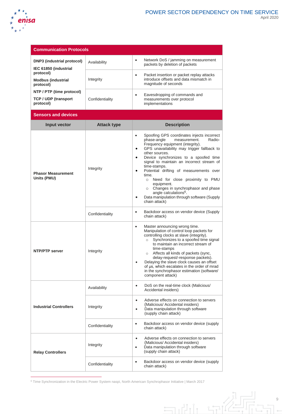

9

 $\frac{1}{\sqrt{2}}$ 

 $\Box$ 

 $\int_{1}^{x}$ 

| <b>Communication Protocols</b>                      |                    |                                                                                                                                                                                                                                                                                                                                                                                                                                                                                                                                                                                                               |
|-----------------------------------------------------|--------------------|---------------------------------------------------------------------------------------------------------------------------------------------------------------------------------------------------------------------------------------------------------------------------------------------------------------------------------------------------------------------------------------------------------------------------------------------------------------------------------------------------------------------------------------------------------------------------------------------------------------|
| DNP3 (industrial protocol)<br>IEC 61850 (industrial | Availability       | Network DoS / jamming on measurement<br>$\bullet$<br>packets by deletion of packets                                                                                                                                                                                                                                                                                                                                                                                                                                                                                                                           |
| protocol)<br><b>Modbus (industrial</b><br>protocol) | Integrity          | Packet insertion or packet replay attacks<br>$\bullet$<br>introduce offsets and data mismatch in<br>magnitude of seconds                                                                                                                                                                                                                                                                                                                                                                                                                                                                                      |
| NTP / PTP (time protocol)                           |                    | Eavesdropping of commands and<br>$\bullet$                                                                                                                                                                                                                                                                                                                                                                                                                                                                                                                                                                    |
| <b>TCP / UDP (transport</b><br>protocol)            | Confidentiality    | measurements over protocol<br>implementations                                                                                                                                                                                                                                                                                                                                                                                                                                                                                                                                                                 |
| <b>Sensors and devices</b>                          |                    |                                                                                                                                                                                                                                                                                                                                                                                                                                                                                                                                                                                                               |
| Input vector                                        | <b>Attack type</b> | <b>Description</b>                                                                                                                                                                                                                                                                                                                                                                                                                                                                                                                                                                                            |
| <b>Phasor Measurement</b><br>Units (PMU)            | Integrity          | Spoofing GPS coordinates injects incorrect<br>$\bullet$<br>phase-angle<br>measurement.<br>Radio-<br>Frequency equipment (integrity).<br>GPS unavailability may trigger fallback to<br>$\bullet$<br>other sources.<br>Device synchronizes to a spoofed time<br>$\bullet$<br>signal to maintain an incorrect stream of<br>time-stamps.<br>Potential drifting of measurements over<br>$\bullet$<br>time.<br>o Need for close proximity to PMU<br>equipment.<br>Changes in synchrophasor and phase<br>$\circ$<br>angle calculations <sup>6</sup> .<br>Data manipulation through software (Supply<br>chain attack) |
|                                                     | Confidentiality    | Backdoor access on vendor device (Supply<br>$\bullet$<br>chain attack)                                                                                                                                                                                                                                                                                                                                                                                                                                                                                                                                        |
| <b>NTP/PTP server</b>                               | Integrity          | Master announcing wrong time.<br>$\bullet$<br>Manipulation of control loop packets for<br>controlling clocks at slave (integrity).<br>Synchronizes to a spoofed time signal<br>$\circ$<br>to maintain an incorrect stream of<br>time-stamps<br>Affects all kinds of packets (sync,<br>$\circ$<br>delay-request/-response packets).<br>Delaying the slave clock causes an offset<br>of µs, which escalates in the order of mrad<br>in the synchrophasor estimation (software/<br>component attack)                                                                                                             |
|                                                     | Availability       | DoS on the real-time clock (Malicious/<br>$\bullet$<br>Accidental insiders)                                                                                                                                                                                                                                                                                                                                                                                                                                                                                                                                   |
| <b>Industrial Controllers</b>                       | Integrity          | Adverse effects on connection to servers<br>$\bullet$<br>(Malicious/Accidental insiders)<br>Data manipulation through software<br>$\bullet$<br>(supply chain attack)                                                                                                                                                                                                                                                                                                                                                                                                                                          |
|                                                     | Confidentiality    | Backdoor access on vendor device (supply<br>$\bullet$<br>chain attack)                                                                                                                                                                                                                                                                                                                                                                                                                                                                                                                                        |
| <b>Relay Controllers</b>                            | Integrity          | Adverse effects on connection to servers<br>$\bullet$<br>(Malicious/Accidental insiders)<br>Data manipulation through software<br>$\bullet$<br>(supply chain attack)                                                                                                                                                                                                                                                                                                                                                                                                                                          |
|                                                     | Confidentiality    | Backdoor access on vendor device (supply<br>$\bullet$<br>chain attack)                                                                                                                                                                                                                                                                                                                                                                                                                                                                                                                                        |

<sup>6</sup> Time Synchronization in the Electric Power System naspi, North American Synchrophasor Initiative | March 2017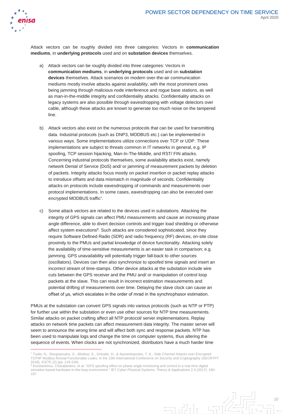

Attack vectors can be roughly divided into three categories: Vectors in **communication mediums**, in **underlying protocols** used and on **substation devices** themselves.

- a) Attack vectors can be roughly divided into three categories: Vectors in **communication mediums**, in **underlying protocols** used and on **substation devices** themselves. Attack scenarios on modern over-the-air communication mediums mostly involve attacks against availability, with the most prominent ones being jamming through malicious node interference and rogue base stations, as well as man-in-the-middle integrity and confidentiality attacks. Confidentiality attacks on legacy systems are also possible through eavesdropping with voltage detectors over cable, although these attacks are known to generate too much noise on the tampered line.
- b) Attack vectors also exist on the numerous protocols that can be used for transmitting data. Industrial protocols (such as DNP3, MODBUS etc.) can be implemented in various ways. Some implementations utilize connections over TCP or UDP. These implementations are subject to threats common in IT networks in general, e.g. IP spoofing, TCP session hijacking, Man-In-The-Middle, and RST/ FIN attacks. Concerning industrial protocols themselves, some availability attacks exist, namely network Denial of Service (DoS) and/ or jamming of measurement packets by deletion of packets. Integrity attacks focus mostly on packet insertion or packet replay attacks to introduce offsets and data mismatch in magnitude of seconds. Confidentiality attacks on protocols include eavesdropping of commands and measurements over protocol implementations. In some cases, eavesdropping can also be executed over encrypted MODBUS traffic<sup>7</sup>.
- <span id="page-10-0"></span>c) Some attack vectors are related to the devices used in substations. Attacking the integrity of GPS signals can affect PMU measurements and cause an increasing phase angle difference, able to divert decision controls and trigger load shedding or otherwise affect system executions<sup>8</sup>. Such attacks are considered sophisticated, since they require Software Defined Radio (SDR) and radio frequency (RF) devices, on-site close proximity to the PMUs and partial knowledge of device functionality. Attacking solely the availability of time-sensitive measurements is an easier task in comparison; e.g. jamming. GPS unavailability will potentially trigger fall-back to other sources (oscillators). Devices can then also synchronize to spoofed time signals and insert an incorrect stream of time-stamps. Other device attacks at the substation include wire cuts between the GPS receiver and the PMU and/ or manipulation of control loop packets at the slave. This can result in incorrect estimation measurements and potential drifting of measurements over time. Delaying the slave clock can cause an offset of μs, which escalates in the order of mrad in the synchrophasor estimation.

PMUs at the substation can convert GPS signals into various protocols (such as NTP or PTP) for further use within the substation or even use other sources for NTP time measurements. Similar attacks on packet crafting affect all NTP protocol/ server implementations. Replay attacks on network time packets can affect measurement data integrity. The master server will seem to announce the wrong time and will affect both sync and response packets. NTP has been used to manipulate logs and change the time on computer systems, thus altering the sequence of events. When clocks are not synchronized, distributors have a much harder time

<sup>&</sup>lt;sup>8</sup> Konstantinou, Charalambos, et al. "GPS spoofing effect on phase angle monitoring and control in a real-time digital simulator-based hardware-in-the-loop environment." IET Cyber-Physical Systems: Theory & Applications 2.4 (2017): 180- 187.



<sup>7</sup> Tsalis, N., Stergiopoulos, G., Bitsikas, E., Gritzalis, D., & Apostolopoulos, T. K.. Side Channel Attacks over Encrypted TCP/IP Modbus Reveal Functionality Leaks. In the 15th International Conference on Security and Cryptography (SECRYPT 2018), ICETE (2) (pp. 219-229).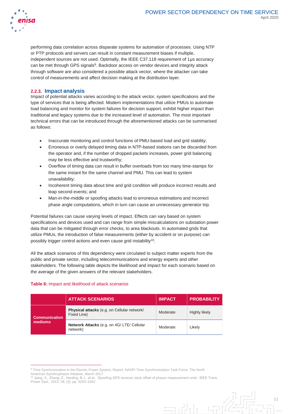

performing data correlation across disparate systems for automation of processes. Using NTP or PTP protocols and servers can result in constant measurement biases if multiple, independent sources are not used. Optimally, the IEEE C37.118 requirement of 1μs accuracy can be met through GPS signals<sup>9</sup>. Backdoor access on vendor devices and integrity attack through software are also considered a possible attack vector, where the attacker can take control of measurements and affect decision making at the distribution layer.

#### **2.2.3. Impact analysis**

Impact of potential attacks varies according to the attack vector, system specifications and the type of services that is being affected. Modern implementations that utilize PMUs to automate load balancing and monitor for system failures for decision support, exhibit higher impact than traditional and legacy systems due to the increased level of automation. The most important technical errors that can be introduced through the aforementioned attacks can be summarised as follows:

- Inaccurate monitoring and control functions of PMU-based load and grid stability;
- Erroneous or overly delayed timing data in NTP-based stations can be discarded from the operator and, if the number of dropped packets increases, power grid balancing may be less effective and trustworthy;
- Overflow of timing data can result in buffer overloads from too many time-stamps for the same instant for the same channel and PMU. This can lead to system unavailability;
- Incoherent timing data about time and grid condition will produce incorrect results and leap second events; and
- Man-in-the-middle or spoofing attacks lead to erroneous estimations and incorrect phase angle computations, which in turn can cause an unnecessary generator trip.

Potential failures can cause varying levels of impact. Effects can vary based on system specifications and devices used and can range from simple miscalculations on substation power data that can be mitigated through error checks, to area blackouts. In automated grids that utilize PMUs, the introduction of false measurements (either by accident or on purpose) can possibly trigger control actions and even cause grid instability<sup>10</sup>.

All the attack scenarios of this dependency were circulated to subject matter experts from the public and private sector, including telecommunications and energy experts and other stakeholders. The following table depicts the likelihood and impact for each scenario based on the average of the given answers of the relevant stakeholders.

#### **Table 6:** Impact and likelihood of attack scenarios

 $\overline{a}$ 

|                                 | <b>ATTACK SCENARIOS</b>                                    | <b>IMPACT</b> | <b>PROBABILITY</b> |
|---------------------------------|------------------------------------------------------------|---------------|--------------------|
| <b>Communication</b><br>mediums | Physical attacks (e.g. on Cellular network/<br>Fixed Line) | Moderate      | Highly likely      |
|                                 | Network Attacks (e.g. on 4G/ LTE/ Cellular<br>network)     | Moderate      | Likelv             |

ان د

<sup>9</sup> Time Synchronization in the Electric Power System, Report, NASPI Time Synchronization Task Force, The North

American Synchrophasor Initiative, March 2017<br><sup>10</sup> Jiang, X., Zhang, Z., Harding, B.J., et al.: 'Spoofing GPS receiver clock offset of phasor measurement units', IEEE Trans. Power Syst., 2013, 28, (3), pp. 3253–3262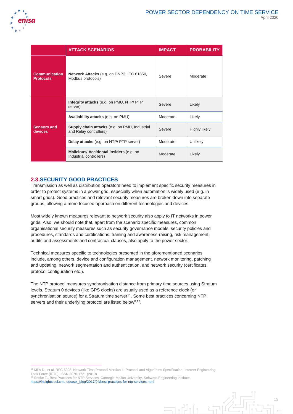

|                                          | <b>ATTACK SCENARIOS</b>                                                        | <b>IMPACT</b> | <b>PROBABILITY</b> |
|------------------------------------------|--------------------------------------------------------------------------------|---------------|--------------------|
| <b>Communication</b><br><b>Protocols</b> | Network Attacks (e.g. on DNP3, IEC 61850,<br>Modbus protocols)                 | Severe        | Moderate           |
| <b>Sensors and</b><br>devices            | Integrity attacks (e.g. on PMU, NTP/ PTP<br>server)                            | Severe        | Likely             |
|                                          | Availability attacks (e.g. on PMU)                                             | Moderate      | Likely             |
|                                          | <b>Supply chain attacks</b> (e.g. on PMU, Industrial<br>and Relay controllers) | Severe        | Highly likely      |
|                                          | <b>Delay attacks</b> (e.g. on NTP/ PTP server)                                 | Moderate      | Unlikely           |
|                                          | Malicious/ Accidental insiders (e.g. on<br>Industrial controllers)             | Moderate      | Likely             |

### **2.3.SECURITY GOOD PRACTICES**

Transmission as well as distribution operators need to implement specific security measures in order to protect systems in a power grid, especially when automation is widely used (e.g. in smart grids). Good practices and relevant security measures are broken down into separate groups, allowing a more focused approach on different technologies and devices.

Most widely known measures relevant to network security also apply to IT networks in power grids. Also, we should note that, apart from the scenario specific measures, common organisational security measures such as security governance models, security policies and procedures, standards and certifications, training and awareness-raising, risk management, audits and assessments and contractual clauses, also apply to the power sector.

Technical measures specific to technologies presented in the aforementioned scenarios include, among others, device and configuration management, network monitoring, patching and updating, network segmentation and authentication, and network security (certificates, protocol configuration etc.).

The NTP protocol measures synchronisation distance from primary time sources using Stratum levels. Stratum 0 devices (like GPS clocks) are usually used as a reference clock (or synchronisation source) for a Stratum time server<sup>11</sup>. Some best practices concerning NTP servers and their underlying protocol are listed below<sup>[8,1](#page-10-0)2</sup>.

 $\exists$ 

 $\overline{a}$ 

<sup>11</sup> Mills D., et al, RFC 5905: Network Time Protocol Version 4: Protocol and Algorithms Specification, Internet Engineering Task Force (IETF), ISSN:2070-1721 (2010)

<sup>&</sup>lt;sup>12</sup> Snoke T., Best Practices for NTP Services, Carnegie Mellon University, Software Engineering Institute, [https://insights.sei.cmu.edu/sei\\_blog/2017/04/best-practices-for-ntp-services.html](https://insights.sei.cmu.edu/sei_blog/2017/04/best-practices-for-ntp-services.html)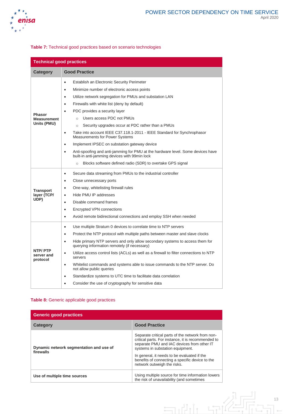

#### **Table 7:** Technical good practices based on scenario technologies

| <b>Technical good practices</b>             |                                                                                                                                                                                                                                                                                                                                                                                                                                                                                                                                                                                                                                                                                                                                                                                                    |  |
|---------------------------------------------|----------------------------------------------------------------------------------------------------------------------------------------------------------------------------------------------------------------------------------------------------------------------------------------------------------------------------------------------------------------------------------------------------------------------------------------------------------------------------------------------------------------------------------------------------------------------------------------------------------------------------------------------------------------------------------------------------------------------------------------------------------------------------------------------------|--|
| <b>Category</b>                             | <b>Good Practice</b>                                                                                                                                                                                                                                                                                                                                                                                                                                                                                                                                                                                                                                                                                                                                                                               |  |
| Phasor<br><b>Measurement</b><br>Units (PMU) | Establish an Electronic Security Perimeter<br>$\bullet$<br>Minimize number of electronic access points<br>$\bullet$<br>Utilize network segregation for PMUs and substation LAN<br>٠<br>Firewalls with white list (deny by default)<br>$\bullet$<br>PDC provides a security layer<br>Users access PDC not PMUs<br>$\Omega$<br>Security upgrades occur at PDC rather than a PMUs<br>$\circ$<br>Take into account IEEE C37.118.1-2011 - IEEE Standard for Synchrophasor<br>$\bullet$<br>Measurements for Power Systems<br>Implement IPSEC on substation gateway device<br>$\bullet$<br>Anti-spoofing and anti-jamming for PMU at the hardware level. Some devices have<br>٠<br>built-in anti-jamming devices with 99min lock<br>Blocks software defined radio (SDR) to overtake GPS signal<br>$\circ$ |  |
| <b>Transport</b><br>layer (TCP/<br>UDP)     | Secure data streaming from PMUs to the industrial controller<br>$\bullet$<br>Close unnecessary ports<br>$\bullet$<br>One-way, whitelisting firewall rules<br>$\bullet$<br>Hide PMU IP addresses<br>$\bullet$<br>Disable command frames<br>$\bullet$<br><b>Encrypted VPN connections</b><br>$\bullet$<br>Avoid remote bidirectional connections and employ SSH when needed<br>$\bullet$                                                                                                                                                                                                                                                                                                                                                                                                             |  |
| <b>NTP/PTP</b><br>server and<br>protocol    | Use multiple Stratum 0 devices to correlate time to NTP servers<br>$\bullet$<br>Protect the NTP protocol with multiple paths between master and slave clocks<br>٠<br>Hide primary NTP servers and only allow secondary systems to access them for<br>$\bullet$<br>querying information remotely (if necessary)<br>Utilize access control lists (ACLs) as well as a firewall to filter connections to NTP<br>$\bullet$<br>servers<br>Whitelist commands and systems able to issue commands to the NTP server. Do<br>$\bullet$<br>not allow public queries<br>Standardize systems to UTC time to facilitate data correlation<br>$\bullet$<br>Consider the use of cryptography for sensitive data                                                                                                     |  |

#### **Table 8:** Generic applicable good practices

| <b>Generic good practices</b>                        |                                                                                                                                                                                                                                                                                                                           |  |
|------------------------------------------------------|---------------------------------------------------------------------------------------------------------------------------------------------------------------------------------------------------------------------------------------------------------------------------------------------------------------------------|--|
| Category                                             | <b>Good Practice</b>                                                                                                                                                                                                                                                                                                      |  |
| Dynamic network segmentation and use of<br>firewalls | Separate critical parts of the network from non-<br>critical parts. For instance, it is recommended to<br>separate PMU and IAC devices from other IT<br>systems in substation equipment.<br>In general, it needs to be evaluated if the<br>benefits of connecting a specific device to the<br>network outweigh the risks. |  |
| Use of multiple time sources                         | Using multiple source for time information lowers<br>the risk of unavailability (and sometimes                                                                                                                                                                                                                            |  |

 $\overline{1}$  .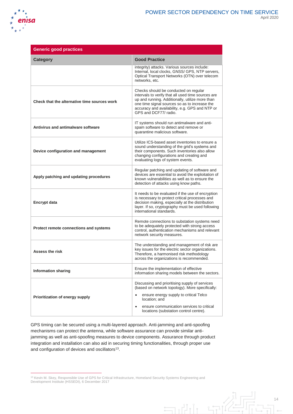

| <b>Generic good practices</b>                |                                                                                                                                                                                                                                                                               |
|----------------------------------------------|-------------------------------------------------------------------------------------------------------------------------------------------------------------------------------------------------------------------------------------------------------------------------------|
| <b>Category</b>                              | <b>Good Practice</b>                                                                                                                                                                                                                                                          |
|                                              | integrity) attacks. Various sources include:<br>Internal, local clocks, GNSS/ GPS, NTP servers,<br>Optical Transport Networks (OTN) over telecom<br>networks, etc.                                                                                                            |
| Check that the alternative time sources work | Checks should be conducted on regular<br>intervals to verify that all used time sources are<br>up and running. Additionally, utilize more than<br>one time signal sources so as to increase the<br>accuracy and availability, e.g. GPS and NTP or<br>GPS and DCF77/radio.     |
| Antivirus and antimalware software           | IT systems should run antimalware and anti-<br>spam software to detect and remove or<br>quarantine malicious software.                                                                                                                                                        |
| Device configuration and management          | Utilize ICS-based asset inventories to ensure a<br>sound understanding of the grid's systems and<br>their components. Such inventories also allow<br>changing configurations and creating and<br>evaluating logs of system events.                                            |
| Apply patching and updating procedures       | Regular patching and updating of software and<br>devices are essential to avoid the exploitation of<br>known vulnerabilities as well as to ensure the<br>detection of attacks using know paths.                                                                               |
| <b>Encrypt data</b>                          | It needs to be evaluated if the use of encryption<br>is necessary to protect critical processes and<br>decision making, especially at the distribution<br>layer. If so, cryptography must be used following<br>international standards.                                       |
| Protect remote connections and systems       | Remote connections to substation systems need<br>to be adequately protected with strong access<br>control, authentication mechanisms and relevant<br>network security measures.                                                                                               |
| <b>Assess the risk</b>                       | The understanding and management of risk are<br>key issues for the electric sector organizations.<br>Therefore, a harmonised risk methodology<br>across the organizations is recommended.                                                                                     |
| <b>Information sharing</b>                   | Ensure the implementation of effective<br>information sharing models between the sectors.                                                                                                                                                                                     |
| Prioritization of energy supply              | Discussing and prioritising supply of services<br>(based on network topology). More specifically:<br>ensure energy supply to critical Telco<br>$\bullet$<br>location: and<br>ensure communication services to critical<br>$\bullet$<br>locations (substation control centre). |

GPS timing can be secured using a multi-layered approach. Anti-jamming and anti-spoofing mechanisms can protect the antenna, while software assurance can provide similar antijamming as well as anti-spoofing measures to device components. Assurance through product integration and installation can also aid in securing timing functionalities, through proper use and configuration of devices and oscillators<sup>13</sup>.

<sup>13</sup> Kevin M. Skey, Responsible Use of GPS for Critical Infrastructure, Homeland Security Systems Engineering and Development Institute (HSSEDI), 6 December 2017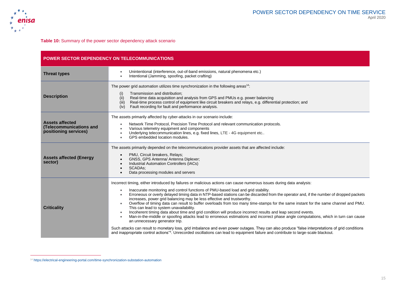

**Table 10:** Summary of the power sector dependency attack scenario

| <b>POWER SECTOR DEPENDENCY ON TELECOMMUNICATIONS</b>                       |                                                                                                                                                                                                                                                                                                                                                                                                                                                                                                                                                                                                                                                                                                                                                                                                                                                                                                                                                                                                                                                                                                                                                                                                                                                                    |  |
|----------------------------------------------------------------------------|--------------------------------------------------------------------------------------------------------------------------------------------------------------------------------------------------------------------------------------------------------------------------------------------------------------------------------------------------------------------------------------------------------------------------------------------------------------------------------------------------------------------------------------------------------------------------------------------------------------------------------------------------------------------------------------------------------------------------------------------------------------------------------------------------------------------------------------------------------------------------------------------------------------------------------------------------------------------------------------------------------------------------------------------------------------------------------------------------------------------------------------------------------------------------------------------------------------------------------------------------------------------|--|
| <b>Threat types</b>                                                        | Unintentional (interference, out-of-band emissions, natural phenomena etc.)<br>$\bullet$<br>Intentional (Jamming, spoofing, packet crafting)<br>$\bullet$                                                                                                                                                                                                                                                                                                                                                                                                                                                                                                                                                                                                                                                                                                                                                                                                                                                                                                                                                                                                                                                                                                          |  |
| <b>Description</b>                                                         | The power grid automation utilizes time synchronization in the following areas <sup>14</sup> :<br>Transmission and distribution;<br>(i)<br>Real-time data acquisition and analysis from GPS and PMUs e.g. power balancing<br>(ii)<br>Real-time process control of equipment like circuit breakers and relays, e.g. differential protection; and<br>(iii)<br>Fault recording for fault and performance analysis.<br>(iv)                                                                                                                                                                                                                                                                                                                                                                                                                                                                                                                                                                                                                                                                                                                                                                                                                                            |  |
| <b>Assets affected</b><br>(Telecommunications and<br>positioning services) | The assets primarily affected by cyber-attacks in our scenario include:<br>Network Time Protocol, Precision Time Protocol and relevant communication protocols.<br>$\bullet$<br>Various telemetry equipment and components<br>Underlying telecommunication lines, e.g. fixed lines, LTE - 4G equipment etc<br>GPS embedded location modules.                                                                                                                                                                                                                                                                                                                                                                                                                                                                                                                                                                                                                                                                                                                                                                                                                                                                                                                       |  |
| <b>Assets affected (Energy</b><br>sector)                                  | The assets primarily depended on the telecommunications provider assets that are affected include:<br>PMU, Circuit breakers, Relays;<br>$\bullet$<br>GNSS, GPS Antenna/ Antenna Diplexer;<br>Industrial Automation Controllers (IACs)<br><b>SCADAs:</b><br>$\bullet$<br>Data processing modules and servers                                                                                                                                                                                                                                                                                                                                                                                                                                                                                                                                                                                                                                                                                                                                                                                                                                                                                                                                                        |  |
| <b>Criticality</b>                                                         | Incorrect timing, either introduced by failures or malicious actions can cause numerous issues during data analysis:<br>Inaccurate monitoring and control functions of PMU-based load and grid stability.<br>$\bullet$<br>Erroneous or overly delayed timing data in NTP-based stations can be discarded from the operator and, if the number of dropped packets<br>increases, power grid balancing may be less effective and trustworthy.<br>Overflow of timing data can result to buffer overloads from too many time-stamps for the same instant for the same channel and PMU.<br>$\bullet$<br>This can lead to system unavailability.<br>Incoherent timing data about time and grid condition will produce incorrect results and leap second events.<br>$\bullet$<br>Man-in-the-middle or spoofing attacks lead to erroneous estimations and incorrect phase angle computations, which in turn can cause<br>$\bullet$<br>an unnecessary generator trip.<br>Such attacks can result to monetary loss, grid imbalance and even power outages. They can also produce "false interpretations of grid conditions<br>and inappropriate control actions" <sup>4</sup> . Unrecorded oscillations can lead to equipment failure and contribute to large-scale blackout. |  |

<sup>14</sup> <https://electrical-engineering-portal.com/time-synchronization-substation-automation>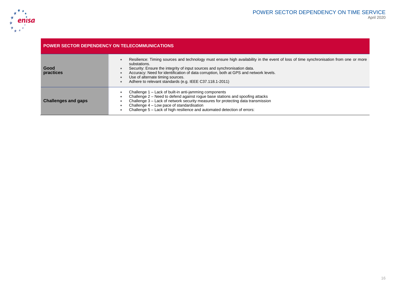

| <b>POWER SECTOR DEPENDENCY ON TELECOMMUNICATIONS</b> |                                                                                                                                                                                                                                                                                                                                                                                                                            |
|------------------------------------------------------|----------------------------------------------------------------------------------------------------------------------------------------------------------------------------------------------------------------------------------------------------------------------------------------------------------------------------------------------------------------------------------------------------------------------------|
| Good<br>practices                                    | Resilience: Timing sources and technology must ensure high availability in the event of loss of time synchronisation from one or more<br>substations.<br>Security: Ensure the integrity of input sources and synchronisation data.<br>Accuracy: Need for identification of data corruption, both at GPS and network levels.<br>Use of alternate timing sources.<br>Adhere to relevant standards (e.g. IEEE C37.118.1-2011) |
| <b>Challenges and gaps</b>                           | Challenge 1 – Lack of built-in anti-jamming components<br>Challenge 2 - Need to defend against rogue base stations and spoofing attacks<br>Challenge 3 - Lack of network security measures for protecting data transmission<br>Challenge 4 - Low pace of standardisation<br>Challenge 5 – Lack of high resilience and automated detection of errors:                                                                       |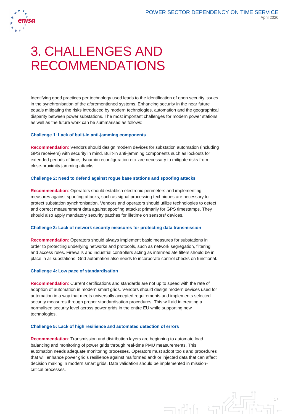

# 3. CHALLENGES AND RECOMMENDATIONS

Identifying good practices per technology used leads to the identification of open security issues in the synchronisation of the aforementioned systems. Enhancing security in the near future equals mitigating the risks introduced by modern technologies, automation and the geographical disparity between power substations. The most important challenges for modern power stations as well as the future work can be summarised as follows:

#### **Challenge 1**: **Lack of built-in anti-jamming components**

**Recommendation**: Vendors should design modern devices for substation automation (including GPS receivers) with security in mind. Built-in anti-jamming components such as lockouts for extended periods of time, dynamic reconfiguration etc. are necessary to mitigate risks from close-proximity jamming attacks.

#### **Challenge 2: Need to defend against rogue base stations and spoofing attacks**

**Recommendation**: Operators should establish electronic perimeters and implementing measures against spoofing attacks, such as signal processing techniques are necessary to protect substation synchronisation. Vendors and operators should utilize technologies to detect and correct measurement data against spoofing attacks; primarily for GPS timestamps. They should also apply mandatory security patches for lifetime on sensors/ devices.

#### **Challenge 3: Lack of network security measures for protecting data transmission**

**Recommendation**: Operators should always implement basic measures for substations in order to protecting underlying networks and protocols, such as network segregation, filtering and access rules. Firewalls and industrial controllers acting as intermediate filters should be in place in all substations. Grid automation also needs to incorporate control checks on functional.

#### **Challenge 4: Low pace of standardisation**

**Recommendation**: Current certifications and standards are not up to speed with the rate of adoption of automation in modern smart grids. Vendors should design modern devices used for automation in a way that meets universally accepted requirements and implements selected security measures through proper standardisation procedures. This will aid in creating a normalised security level across power grids in the entire EU while supporting new technologies.

#### **Challenge 5: Lack of high resilience and automated detection of errors**

**Recommendation**: Transmission and distribution layers are beginning to automate load balancing and monitoring of power grids through real-time PMU measurements. This automation needs adequate monitoring processes. Operators must adopt tools and procedures that will enhance power grid's resilience against malformed and/ or injected data that can affect decision making in modern smart grids. Data validation should be implemented in missioncritical processes.

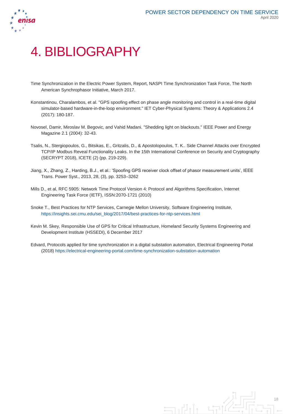



# 4. BIBLIOGRAPHY

- Time Synchronization in the Electric Power System, Report, NASPI Time Synchronization Task Force, The North American Synchrophasor Initiative, March 2017.
- Konstantinou, Charalambos, et al. "GPS spoofing effect on phase angle monitoring and control in a real-time digital simulator-based hardware-in-the-loop environment." IET Cyber-Physical Systems: Theory & Applications 2.4 (2017): 180-187.
- Novosel, Damir, Miroslav M. Begovic, and Vahid Madani. "Shedding light on blackouts." IEEE Power and Energy Magazine 2.1 (2004): 32-43.
- Tsalis, N., Stergiopoulos, G., Bitsikas, E., Gritzalis, D., & Apostolopoulos, T. K.. Side Channel Attacks over Encrypted TCP/IP Modbus Reveal Functionality Leaks. In the 15th International Conference on Security and Cryptography (SECRYPT 2018), ICETE (2) (pp. 219-229).
- Jiang, X., Zhang, Z., Harding, B.J., et al.: 'Spoofing GPS receiver clock offset of phasor measurement units', IEEE Trans. Power Syst., 2013, 28, (3), pp. 3253–3262
- Mills D., et al, RFC 5905: Network Time Protocol Version 4: Protocol and Algorithms Specification, Internet Engineering Task Force (IETF), ISSN:2070-1721 (2010)
- Snoke T., Best Practices for NTP Services, Carnegie Mellon University, Software Engineering Institute, [https://insights.sei.cmu.edu/sei\\_blog/2017/04/best-practices-for-ntp-services.html](https://insights.sei.cmu.edu/sei_blog/2017/04/best-practices-for-ntp-services.html)
- Kevin M. Skey, Responsible Use of GPS for Critical Infrastructure, Homeland Security Systems Engineering and Development Institute (HSSEDI), 6 December 2017
- Edvard, Protocols applied for time synchronization in a digital substation automation, Electrical Engineering Portal (2018)<https://electrical-engineering-portal.com/time-synchronization-substation-automation>

 $\exists$